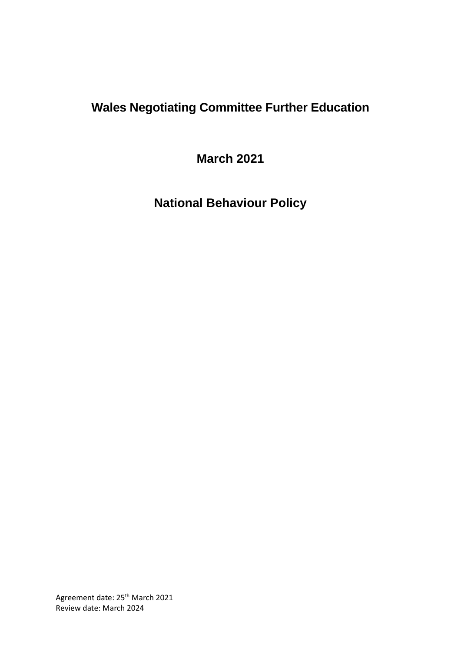# **Wales Negotiating Committee Further Education**

**March 2021**

**National Behaviour Policy**

Agreement date: 25<sup>th</sup> March 2021 Review date: March 2024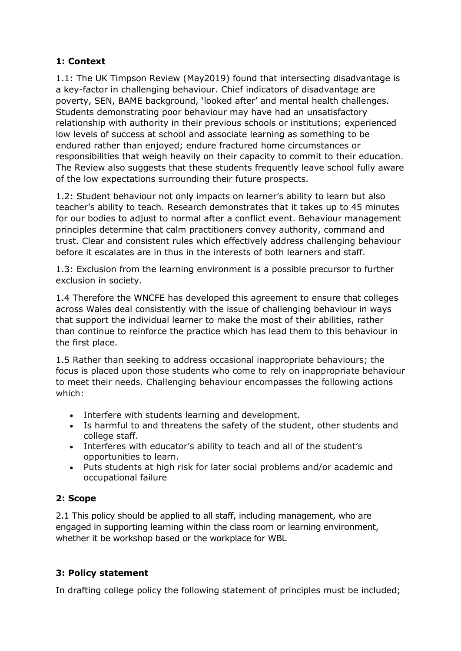## **1: Context**

1.1: The UK Timpson Review (May2019) found that intersecting disadvantage is a key-factor in challenging behaviour. Chief indicators of disadvantage are poverty, SEN, BAME background, 'looked after' and mental health challenges. Students demonstrating poor behaviour may have had an unsatisfactory relationship with authority in their previous schools or institutions; experienced low levels of success at school and associate learning as something to be endured rather than enjoyed; endure fractured home circumstances or responsibilities that weigh heavily on their capacity to commit to their education. The Review also suggests that these students frequently leave school fully aware of the low expectations surrounding their future prospects.

1.2: Student behaviour not only impacts on learner's ability to learn but also teacher's ability to teach. Research demonstrates that it takes up to 45 minutes for our bodies to adjust to normal after a conflict event. Behaviour management principles determine that calm practitioners convey authority, command and trust. Clear and consistent rules which effectively address challenging behaviour before it escalates are in thus in the interests of both learners and staff.

1.3: Exclusion from the learning environment is a possible precursor to further exclusion in society.

1.4 Therefore the WNCFE has developed this agreement to ensure that colleges across Wales deal consistently with the issue of challenging behaviour in ways that support the individual learner to make the most of their abilities, rather than continue to reinforce the practice which has lead them to this behaviour in the first place.

1.5 Rather than seeking to address occasional inappropriate behaviours; the focus is placed upon those students who come to rely on inappropriate behaviour to meet their needs. Challenging behaviour encompasses the following actions which:

- Interfere with students learning and development.
- Is harmful to and threatens the safety of the student, other students and college staff.
- Interferes with educator's ability to teach and all of the student's opportunities to learn.
- Puts students at high risk for later social problems and/or academic and occupational failure

## **2: Scope**

2.1 This policy should be applied to all staff, including management, who are engaged in supporting learning within the class room or learning environment, whether it be workshop based or the workplace for WBL

## **3: Policy statement**

In drafting college policy the following statement of principles must be included;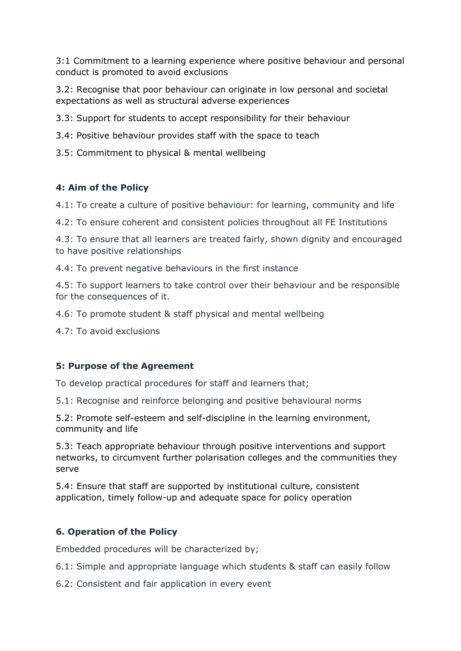3:1 Commitment to a learning experience where positive behaviour and personal conduct is promoted to avoid exclusions

3.2: Recognise that poor behaviour can originate in low personal and societal expectations as well as structural adverse experiences

3.3: Support for students to accept responsibility for their behaviour

3.4: Positive behaviour provides staff with the space to teach

3.5: Commitment to physical & mental wellbeing

#### **4: Aim of the Policy**

4.1: To create a culture of positive behaviour: for learning, community and life

4.2: To ensure coherent and consistent policies throughout all FE Institutions

4.3: To ensure that all learners are treated fairly, shown dignity and encouraged to have positive relationships

4.4: To prevent negative behaviours in the first instance

4.5: To support learners to take control over their behaviour and be responsible for the consequences of it.

4.6: To promote student & staff physical and mental wellbeing

4.7: To avoid exclusions

#### **5: Purpose of the Agreement**

To develop practical procedures for staff and learners that;

5.1: Recognise and reinforce belonging and positive behavioural norms

5.2: Promote self-esteem and self-discipline in the learning environment, community and life

5.3: Teach appropriate behaviour through positive interventions and support networks, to circumvent further polarisation colleges and the communities they serve

5.4: Ensure that staff are supported by institutional culture, consistent application, timely follow-up and adequate space for policy operation

## **6. Operation of the Policy**

Embedded procedures will be characterized by;

6.1: Simple and appropriate language which students & staff can easily follow

6.2: Consistent and fair application in every event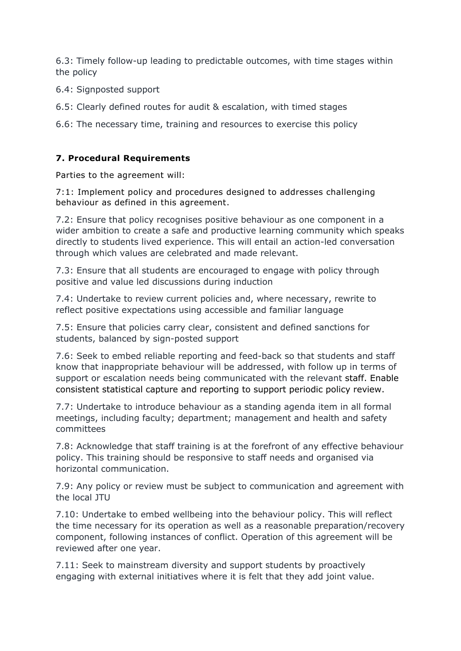6.3: Timely follow-up leading to predictable outcomes, with time stages within the policy

6.4: Signposted support

6.5: Clearly defined routes for audit & escalation, with timed stages

6.6: The necessary time, training and resources to exercise this policy

#### **7. Procedural Requirements**

Parties to the agreement will:

7:1: Implement policy and procedures designed to addresses challenging behaviour as defined in this agreement.

7.2: Ensure that policy recognises positive behaviour as one component in a wider ambition to create a safe and productive learning community which speaks directly to students lived experience. This will entail an action-led conversation through which values are celebrated and made relevant.

7.3: Ensure that all students are encouraged to engage with policy through positive and value led discussions during induction

7.4: Undertake to review current policies and, where necessary, rewrite to reflect positive expectations using accessible and familiar language

7.5: Ensure that policies carry clear, consistent and defined sanctions for students, balanced by sign-posted support

7.6: Seek to embed reliable reporting and feed-back so that students and staff know that inappropriate behaviour will be addressed, with follow up in terms of support or escalation needs being communicated with the relevant staff. Enable consistent statistical capture and reporting to support periodic policy review.

7.7: Undertake to introduce behaviour as a standing agenda item in all formal meetings, including faculty; department; management and health and safety committees

7.8: Acknowledge that staff training is at the forefront of any effective behaviour policy. This training should be responsive to staff needs and organised via horizontal communication.

7.9: Any policy or review must be subject to communication and agreement with the local JTU

7.10: Undertake to embed wellbeing into the behaviour policy. This will reflect the time necessary for its operation as well as a reasonable preparation/recovery component, following instances of conflict. Operation of this agreement will be reviewed after one year.

7.11: Seek to mainstream diversity and support students by proactively engaging with external initiatives where it is felt that they add joint value.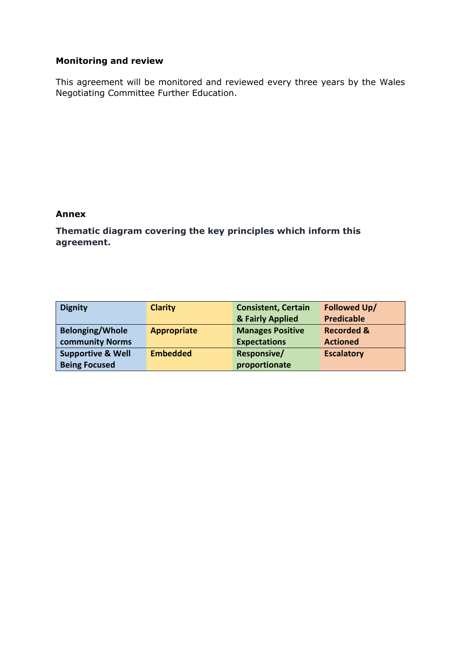## **Monitoring and review**

This agreement will be monitored and reviewed every three years by the Wales Negotiating Committee Further Education.

#### **Annex**

**Thematic diagram covering the key principles which inform this agreement.**

| <b>Dignity</b>               | <b>Clarity</b>     | <b>Consistent, Certain</b> | <b>Followed Up/</b>   |
|------------------------------|--------------------|----------------------------|-----------------------|
|                              |                    | & Fairly Applied           | <b>Predicable</b>     |
| <b>Belonging/Whole</b>       | <b>Appropriate</b> | <b>Manages Positive</b>    | <b>Recorded &amp;</b> |
| <b>community Norms</b>       |                    | <b>Expectations</b>        | <b>Actioned</b>       |
| <b>Supportive &amp; Well</b> | <b>Embedded</b>    | <b>Responsive/</b>         | <b>Escalatory</b>     |
| <b>Being Focused</b>         |                    | proportionate              |                       |